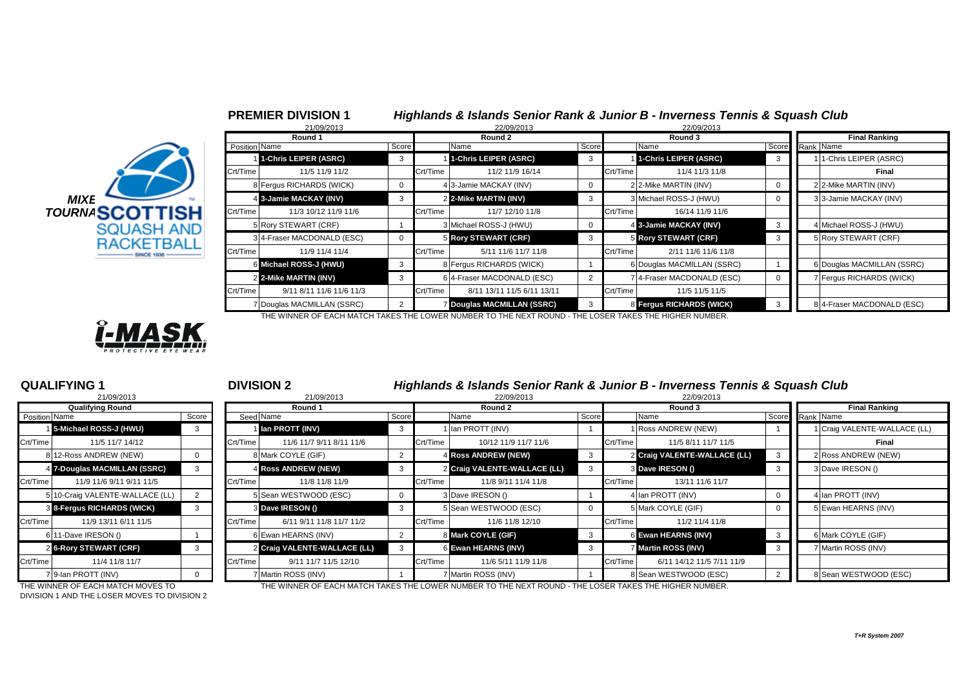

|                     |               | 21/09/2013                 |              |          | 22/09/2013                      |       |               | 22/09/2013                 |                      |                            |  |  |
|---------------------|---------------|----------------------------|--------------|----------|---------------------------------|-------|---------------|----------------------------|----------------------|----------------------------|--|--|
|                     |               | Round 1                    |              |          | Round 2                         |       |               | Round 3                    | <b>Final Ranking</b> |                            |  |  |
|                     | Position Name |                            | Score        |          | Name                            | Score | Score<br>Name |                            |                      | Rank Name                  |  |  |
|                     |               | 1-Chris LEIPER (ASRC)      |              |          | 1-Chris LEIPER (ASRC)           | 3     |               | 1-Chris LEIPER (ASRC)      |                      | 11-Chris LEIPER (ASRC)     |  |  |
|                     | Crt/Time      | 11/5 11/9 11/2             |              | Crt/Time | 11/2 11/9 16/14                 |       | Crt/Time      | 11/4 11/3 11/8             |                      | Final                      |  |  |
|                     |               | 8 Fergus RICHARDS (WICK)   |              |          | 4 3-Jamie MACKAY (INV)          |       |               | 2 2-Mike MARTIN (INV)      |                      | 2 2-Mike MARTIN (INV)      |  |  |
| <b>MIXE</b>         |               | 4 3-Jamie MACKAY (INV)     |              |          | 2 2-Mike MARTIN (INV)           | 3     |               | 3 Michael ROSS-J (HWU)     |                      | 3 3-Jamie MACKAY (INV)     |  |  |
| <b>IRNASCOTTISH</b> | Crt/Time      | 11/3 10/12 11/9 11/6       |              | Crt/Time | 11/7 12/10 11/8                 |       | Crt/Time      | 16/14 11/9 11/6            |                      |                            |  |  |
| <b>SQUASH AND</b>   |               | 5 Rory STEWART (CRF)       |              |          | 3 Michael ROSS-J (HWU)          |       |               | 4 3-Jamie MACKAY (INV)     |                      | 4 Michael ROSS-J (HWU)     |  |  |
| <b>RACKETBALL</b>   |               | 3 4-Fraser MACDONALD (ESC) | $\mathbf{0}$ |          | 5 Rory STEWART (CRF)            | 3     |               | 5 Rory STEWART (CRF)       |                      | 5 Rory STEWART (CRF)       |  |  |
| SINCE 1936          | Crt/Time      | 11/9 11/4 11/4             |              | Crt/Time | 5/11 11/6 11/7 11/8             |       | Crt/Time      | 2/11 11/6 11/6 11/8        |                      |                            |  |  |
|                     |               | 6 Michael ROSS-J (HWU)     | 3            |          | 8 Fergus RICHARDS (WICK)        |       |               | 6 Douglas MACMILLAN (SSRC) |                      | 6 Douglas MACMILLAN (SSRC) |  |  |
|                     |               | 2 2-Mike MARTIN (INV)      |              |          | 6 4-Fraser MACDONALD (ESC)      |       |               | 7 4-Fraser MACDONALD (ESC) |                      | 7 Fergus RICHARDS (WICK)   |  |  |
|                     | Crt/Time      | 9/11 8/11 11/6 11/6 11/3   |              | Crt/Time | 8/11 13/11 11/5 6/11 13/11      |       | Crt/Time      | 11/5 11/5 11/5             |                      |                            |  |  |
|                     |               | 7 Douglas MACMILLAN (SSRC) |              |          | <b>Douglas MACMILLAN (SSRC)</b> |       |               | 8 Fergus RICHARDS (WICK)   |                      | 8 4-Fraser MACDONALD (ESC) |  |  |

**PREMIER DIVISION 1** *Highlands & Islands Senior Rank & Junior B - Inverness Tennis & Squash Club*

THE WINNER OF EACH MATCH TAKES THE LOWER NUMBER TO THE NEXT ROUND - THE LOSER TAKES THE HIGHER NUMBER.



|                         | 21/09/2013                    |       |  |  |  |  |  |  |  |
|-------------------------|-------------------------------|-------|--|--|--|--|--|--|--|
| <b>Qualifying Round</b> |                               |       |  |  |  |  |  |  |  |
| Position Name           |                               | Score |  |  |  |  |  |  |  |
|                         | 15-Michael ROSS-J (HWU)       | 3     |  |  |  |  |  |  |  |
| Crt/Time                | 11/5 11/7 14/12               |       |  |  |  |  |  |  |  |
|                         | 8 12-Ross ANDREW (NEW)        | 0     |  |  |  |  |  |  |  |
| 4                       | 7-Douglas MACMILLAN (SSRC)    | 3     |  |  |  |  |  |  |  |
| Crt/Time                | 11/9 11/6 9/11 9/11 11/5      |       |  |  |  |  |  |  |  |
| 5                       | 10-Craig VALENTE-WALLACE (LL) | 2     |  |  |  |  |  |  |  |
|                         | 8 8-Fergus RICHARDS (WICK)    | 3     |  |  |  |  |  |  |  |
| Crt/Time                | 11/9 13/11 6/11 11/5          |       |  |  |  |  |  |  |  |
|                         | 6 11-Dave IRESON ()           |       |  |  |  |  |  |  |  |
| $\overline{2}$          | <b>6-Rory STEWART (CRF)</b>   | 3     |  |  |  |  |  |  |  |
| Crt/Time                | 11/4 11/8 11/7                |       |  |  |  |  |  |  |  |
|                         | 7 9-Ian PROTT (INV)           | ŋ     |  |  |  |  |  |  |  |

**QUALIFYING 1** <sup>1</sup> **DIVISION 2** *Highlands & Islands Senior Rank & Junior B - Inverness Tennis & Squash Club*

|               | 21/09/2013                      |       | 21/09/2013 |                              |              | 22/09/2013 |                              |       |          |                              |       |                              |
|---------------|---------------------------------|-------|------------|------------------------------|--------------|------------|------------------------------|-------|----------|------------------------------|-------|------------------------------|
|               | <b>Qualifying Round</b>         |       | Round 1    |                              |              |            | Round 2                      |       | Round 3  | <b>Final Ranking</b>         |       |                              |
| Position Name |                                 | Score |            | Seed Name                    | Score        |            | Name                         | Score |          | Name                         | Score | Rank Name                    |
|               | 5-Michael ROSS-J (HWU)          |       |            | I lan PROTT (INV)            | 3            |            | 1 Ian PROTT (INV)            |       |          | Ross ANDREW (NEW)            |       | 1 Craig VALENTE-WALLACE (LL) |
| Crt/Time      | 11/5 11/7 14/12                 |       | Crt/Time   | 11/6 11/7 9/11 8/11 11/6     |              | Crt/Time   | 10/12 11/9 11/7 11/6         |       | Crt/Time | 11/5 8/11 11/7 11/5          |       | Final                        |
|               | 8 12-Ross ANDREW (NEW)          |       |            | 8 Mark COYLE (GIF)           |              |            | 4 Ross ANDREW (NEW)          |       |          | 2 Craig VALENTE-WALLACE (LL) |       | 2 Ross ANDREW (NEW)          |
|               | 4 7-Douglas MACMILLAN (SSRC)    | 3     |            | 4 Ross ANDREW (NEW)          | -3           |            | 2 Craig VALENTE-WALLACE (LL) | 3     |          | 3 Dave IRESON ()             |       | 3 Dave IRESON ()             |
| Crt/Time      | 11/9 11/6 9/11 9/11 11/5        |       | Crt/Time   | 11/8 11/8 11/9               |              | Crt/Time   | 11/8 9/11 11/4 11/8          |       | Crt/Time | 13/11 11/6 11/7              |       |                              |
|               | 5 10-Craig VALENTE-WALLACE (LL) |       |            | 5 Sean WESTWOOD (ESC)        | $\mathbf{0}$ |            | 3 Dave IRESON ()             |       |          | 4 Ian PROTT (INV)            |       | 4 Ian PROTT (INV)            |
|               | 8 8-Fergus RICHARDS (WICK)      |       |            | 3 Dave IRESON ()             | -3           |            | 5 Sean WESTWOOD (ESC)        |       |          | 5 Mark COYLE (GIF)           |       | 5 Ewan HEARNS (INV)          |
| Crt/Time      | 11/9 13/11 6/11 11/5            |       | Crt/Time   | 6/11 9/11 11/8 11/7 11/2     |              | Crt/Time   | 11/6 11/8 12/10              |       | Crt/Time | 11/2 11/4 11/8               |       |                              |
|               | 6 11-Dave IRESON ()             |       |            | 6 Ewan HEARNS (INV)          | 2            |            | 8 Mark COYLE (GIF)           | -3    |          | 6 Ewan HEARNS (INV)          |       | 6 Mark COYLE (GIF)           |
|               | 2 6-Rory STEWART (CRF)          |       |            | 2 Craig VALENTE-WALLACE (LL) | 3            |            | 6 Ewan HEARNS (INV)          | 3     |          | 7 Martin ROSS (INV)          |       | 7 Martin ROSS (INV)          |
| Crt/Time      | 11/4 11/8 11/7                  |       | Crt/Time   | 9/11 11/7 11/5 12/10         |              | Crt/Time   | 11/6 5/11 11/9 11/8          |       | Crt/Time | 6/11 14/12 11/5 7/11 11/9    |       |                              |
|               | 7 9-Ian PROTT (INV)             |       |            | 7 Martin ROSS (INV)          |              |            | 7 Martin ROSS (INV)          |       |          | 8 Sean WESTWOOD (ESC)        |       | 8 Sean WESTWOOD (ESC)        |

DIVISION 1 AND THE LOSER MOVES TO DIVISION 2

THE WINNER OF EACH MATCH MOVES TO THE WINNER OF EACH MATCH TAKES THE LOWER NUMBER TO THE NEXT ROUND - THE LOSER TAKES THE HIGHER NUMBER.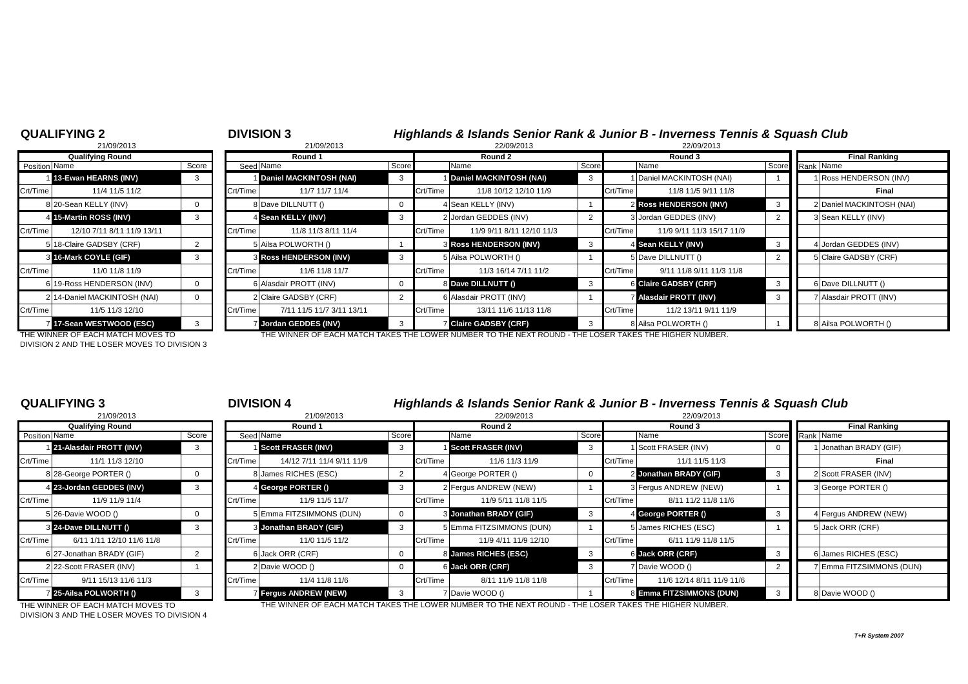## **QUALIFYING 2** <sup>2</sup> **DIVISION 3** *Highlands & Islands Senior Rank & Junior B - Inverness Tennis & Squash Club* 21/09/2013 8 21/09/2013 22/09/2013 22/09/2013 **Qualifying Round Round 1 Round 2 Round 3 Final Ranking** Position Name Score Score Seed Name Seed Name Score Name Score Score Name Score Name Score Score Rank Name 1 **13-Ewan HEARNS (INV)** 3 1 **Daniel MACKINTOSH (NAI)** 3 1 **Daniel MACKINTOSH (NAI)** 3 1 Daniel MACKINTOSH (NAI) 1 1 Ross HENDERSON (INV) Crt/Time 11/4 11/5 11/2 Crt/Time 11/7 11/7 11/4 Crt/Time 11/8 10/12 12/10 11/9 Crt/Time 11/8 11/5 9/11 11/8 **Final** 8 20-Sean KELLY (INV) 0 8 Dave DILLNUTT () 8 4 Sean KELLY (INV) 1 2 Ross HENDERSON (INV) 3 3 2 Daniel MACKINTOSH (NAI) 4 **15-Martin ROSS (INV) 3 4 Sean KELLY (INV)** 3 2 |Jordan GEDDES (INV) 3 |Jordan GEDDES (INV) 2 3 |Sean KELLY (INV) Crt/Time 12/10 7/11 8/11 11/9 13/11 Crt/Time 11/8 11/3 8/11 11/4 Crt/Time 11/9 9/11 8/11 12/10 11/3 Crt/Time 11/9 9/11 11/3 15/17 11/9 5 18-Claire GADSBY (CRF) 2 5 Ailsa POLWORTH () 1 3 **Ross HENDERSON (INV)** 3 4 **Sean KELLY (INV)** 3 4 Jordan GEDDES (INV) 3 **16-Mark COYLE (GIF)** 3 3 | 3 Ross HENDERSON (INV) 3 | 5 Ailsa POLWORTH () 2 | 5 Claire GADSBY (CRF) 3 | 3 | 5 **Claire GADSBY (CRF**) Crt/Time | 11/0 11/8 11/9 | Crt/Time | 11/6 11/8 11/7 | Crt/Time | 11/3 16/14 7/11 11/2 | Crt/Time | 9/11 11/8 9/11 11/3 11/8 6 19-Ross HENDERSON (INV)  $\begin{vmatrix} 0 & 1 \end{vmatrix}$  6 Alasdair PROTT (INV)  $\begin{vmatrix} 0 & 8 \end{vmatrix}$  **Bave DILLNUTT ()** 3 6 Claire GADSBY (CRF) 3 8 6 Dave DILLNUTT () 2 14-Daniel MACKINTOSH (NAI) 0 2 Claire GADSBY (CRF) 2 6 Alasdair PROTT (INV) 1 7 **Alasdair PROTT (INV)** 3 7 Alasdair PROTT (INV) Crt/Time | 11/5 11/3 12/10 | Crt/Time | 7/11 11/5 11/7 3/11 13/11 | Crt/Time | 13/11 11/3 11/8 | Crt/Time | 11/2 13/11 9/11 11/9 7 **17-Sean WESTWOOD (ESC)** 3 7 **Jordan GEDDES (INV)** 3 7 **Claire GADSBY (CRF)** 3 8 Ailsa POLWORTH () 1 8 Ailsa POLWORTH () THE WINNER OF EACH MATCH MOVES TO THE WINNER OF EACH MATCH TAKES THE LOWER NUMBER TO THE NEXT ROUND - THE LOSER TAKES THE HIGHER NUMBER.

DIVISION 2 AND THE LOSER MOVES TO DIVISION 3

| <b>QUALIFYING 3</b>  |                             |       | <b>DIVISION 4</b> |                               |                | Highlands & Islands Senior Rank & Junior B - Inverness Tennis & Squash Club |                           |       |          |                           |        |  |            |  |  |
|----------------------|-----------------------------|-------|-------------------|-------------------------------|----------------|-----------------------------------------------------------------------------|---------------------------|-------|----------|---------------------------|--------|--|------------|--|--|
|                      | 21/09/2013                  |       |                   | 21/09/2013                    |                |                                                                             | 22/09/2013                |       |          | 22/09/2013                |        |  |            |  |  |
|                      | <b>Qualifying Round</b>     |       |                   | Round 1                       |                |                                                                             | Round 2                   |       |          | Round 3                   |        |  |            |  |  |
| <b>Position</b> Name |                             | Score |                   | Seed Name                     | Score          |                                                                             | Name                      | Score |          | Name                      | Score  |  | Rank Name  |  |  |
|                      | 1 21-Alasdair PROTT (INV)   |       |                   | <b>Scott FRASER (INV)</b>     | 3              |                                                                             | <b>Scott FRASER (INV)</b> | 3     |          | Scott FRASER (INV)        |        |  | Jonatha    |  |  |
| Crt/Time             | 11/1 11/3 12/10             |       | Crt/Time          | 14/12 7/11 11/4 9/11 11/9     |                | Crt/Time                                                                    | 11/6 11/3 11/9            |       | Crt/Time | 11/1 11/5 11/3            |        |  |            |  |  |
|                      | 8 28-George PORTER ()       |       |                   | 8 James RICHES (ESC)          | $\overline{2}$ |                                                                             | 4 George PORTER ()        |       |          | 2 Jonathan BRADY (GIF)    | -3     |  | 2 Scott FF |  |  |
|                      | 4 23-Jordan GEDDES (INV)    | 3     |                   | 4 George PORTER ()            | 3              |                                                                             | 2 Fergus ANDREW (NEW)     |       |          | 3 Fergus ANDREW (NEW)     |        |  | 3 George   |  |  |
| Crt/Time             | 11/9 11/9 11/4              |       | Crt/Time          | 11/9 11/5 11/7                |                | Crt/Time                                                                    | 11/9 5/11 11/8 11/5       |       | Crt/Time | 8/11 11/2 11/8 11/6       |        |  |            |  |  |
|                      | 5 26-Davie WOOD ()          |       |                   | 5 Emma FITZSIMMONS (DUN)      | 0              |                                                                             | 3 Jonathan BRADY (GIF)    | 3     |          | 4 George PORTER ()        | - 3    |  | 4 Fergus   |  |  |
|                      | 3 24-Dave DILLNUTT ()       | 3     |                   | <b>8 Jonathan BRADY (GIF)</b> | 3              |                                                                             | 5 Emma FITZSIMMONS (DUN)  |       |          | 5 James RICHES (ESC)      |        |  | 5 Jack OF  |  |  |
| Crt/Time             | 6/11 1/11 12/10 11/6 11/8   |       | Crt/Time          | 11/0 11/5 11/2                |                | Crt/Time                                                                    | 11/9 4/11 11/9 12/10      |       | Crt/Time | 6/11 11/9 11/8 11/5       |        |  |            |  |  |
|                      | 6 27-Jonathan BRADY (GIF)   |       |                   | 6 Jack ORR (CRF)              | 0              |                                                                             | 8 James RICHES (ESC)      | 3     |          | 6 Jack ORR (CRF)          | $_{3}$ |  | 6 James F  |  |  |
|                      | 2 22-Scott FRASER (INV)     |       |                   | 2 Davie WOOD ()               | $\mathbf 0$    |                                                                             | 6 Jack ORR (CRF)          | 3     |          | 7 Davie WOOD ()           |        |  | 7 Emma F   |  |  |
| Crt/Time             | 9/11 15/13 11/6 11/3        |       | Crt/Time          | 11/4 11/8 11/6                |                | Crt/Time                                                                    | 8/11 11/9 11/8 11/8       |       | Crt/Time | 11/6 12/14 8/11 11/9 11/6 |        |  |            |  |  |
|                      | <b>25-Ailsa POLWORTH ()</b> |       |                   | <b>Fergus ANDREW (NEW)</b>    | 3              |                                                                             | 7 Davie WOOD ()           |       |          | 8 Emma FITZSIMMONS (DUN)  | 3      |  | 8 Davie W  |  |  |

|               | 21/09/2013                |       |          | 21/09/2013                |       |          | 22/09/2013                    |       |          | 22/09/2013             |  |                          |
|---------------|---------------------------|-------|----------|---------------------------|-------|----------|-------------------------------|-------|----------|------------------------|--|--------------------------|
|               | <b>Qualifying Round</b>   |       |          | Round 1                   |       |          | Round 2                       |       |          | Round 3                |  | <b>Final Ranking</b>     |
| Position Name |                           | Score |          | Seed Name                 | Score |          | Name                          | Score |          | Name                   |  | Score Rank Name          |
|               | 21-Alasdair PROTT (INV)   |       |          | <b>Scott FRASER (INV)</b> |       |          | <b>Scott FRASER (INV)</b>     |       |          | 1 Scott FRASER (INV)   |  | Jonathan BRADY (GIF)     |
| Crt/Time      | 11/1 11/3 12/10           |       | Crt/Time | 14/12 7/11 11/4 9/11 11/9 |       | Crt/Time | 11/6 11/3 11/9                |       | Crt/Time | 11/1 11/5 11/3         |  | Final                    |
|               | 8 28-George PORTER ()     |       |          | 8 James RICHES (ESC)      |       |          | 4 George PORTER ()            |       |          | 2 Jonathan BRADY (GIF) |  | 2 Scott FRASER (INV)     |
|               | 4 23-Jordan GEDDES (INV)  | -3    |          | George PORTER ()          |       |          | 2 Fergus ANDREW (NEW)         |       |          | 3 Fergus ANDREW (NEW)  |  | 3 George PORTER ()       |
| Crt/Time      | 11/9 11/9 11/4            |       | Crt/Time | 11/9 11/5 11/7            |       | Crt/Time | 11/9 5/11 11/8 11/5           |       | Crt/Time | 8/11 11/2 11/8 11/6    |  |                          |
|               | 5 26-Davie WOOD ()        |       |          | 5 Emma FITZSIMMONS (DUN)  |       |          | <b>3 Jonathan BRADY (GIF)</b> |       |          | 4 George PORTER ()     |  | 4 Fergus ANDREW (NEW)    |
|               | 3 24-Dave DILLNUTT ()     |       |          | 3 Jonathan BRADY (GIF)    |       |          | 5 Emma FITZSIMMONS (DUN)      |       |          | 5 James RICHES (ESC)   |  | 5 Jack ORR (CRF)         |
| Crt/Time      | 6/11 1/11 12/10 11/6 11/8 |       | Crt/Time | 11/0 11/5 11/2            |       | Crt/Time | 11/9 4/11 11/9 12/10          |       | Crt/Time | 6/11 11/9 11/8 11/5    |  |                          |
|               | 6 27-Jonathan BRADY (GIF) |       |          | 6 Jack ORR (CRF)          |       |          | 8 James RICHES (ESC)          |       |          | 6 Jack ORR (CRF)       |  | 6 James RICHES (ESC)     |
|               | 2 22-Scott FRASER (INV)   |       |          | 2 Davie WOOD ()           |       |          | 6 Jack ORR (CRF)              |       |          | 7 Davie WOOD ()        |  | 7 Emma FITZSIMMONS (DUN) |

DIVISION 3 AND THE LOSER MOVES TO DIVISION 4

THE WINNER OF EACH MATCH MOVES TO THE WINNER OF EACH MATCH TAKES THE LOWER NUMBER TO THE NEXT ROUND - THE LOSER TAKES THE HIGHER NUMBER.